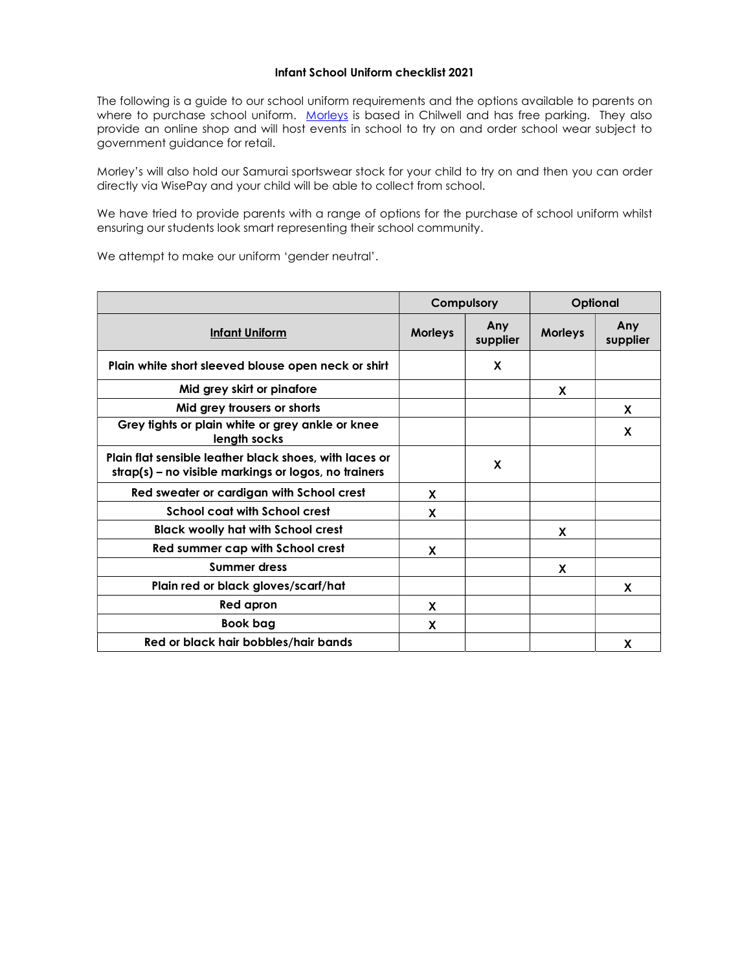## Infant School Uniform checklist 2021

The following is a guide to our school uniform requirements and the options available to parents on where to purchase school uniform. Morleys is based in Chilwell and has free parking. They also provide an online shop and will host events in school to try on and order school wear subject to government guidance for retail.

Morley's will also hold our Samurai sportswear stock for your child to try on and then you can order directly via WisePay and your child will be able to collect from school.

We have tried to provide parents with a range of options for the purchase of school uniform whilst ensuring our students look smart representing their school community.

|                                                                                                                | Compulsory     |                 | Optional       |                 |
|----------------------------------------------------------------------------------------------------------------|----------------|-----------------|----------------|-----------------|
| <b>Infant Uniform</b>                                                                                          | <b>Morleys</b> | Any<br>supplier | <b>Morleys</b> | Any<br>supplier |
| Plain white short sleeved blouse open neck or shirt                                                            |                | X               |                |                 |
| Mid grey skirt or pinafore                                                                                     |                |                 | X              |                 |
| Mid grey trousers or shorts                                                                                    |                |                 |                | X               |
| Grey tights or plain white or grey ankle or knee<br>length socks                                               |                |                 |                | X               |
| Plain flat sensible leather black shoes, with laces or<br>strap(s) – no visible markings or logos, no trainers |                | X               |                |                 |
| Red sweater or cardigan with School crest                                                                      | X              |                 |                |                 |
| <b>School coat with School crest</b>                                                                           | X              |                 |                |                 |
| <b>Black woolly hat with School crest</b>                                                                      |                |                 | X              |                 |
| Red summer cap with School crest                                                                               | X              |                 |                |                 |
| <b>Summer dress</b>                                                                                            |                |                 | X              |                 |
| Plain red or black gloves/scarf/hat                                                                            |                |                 |                | X               |
| Red apron                                                                                                      | X              |                 |                |                 |
| <b>Book bag</b>                                                                                                | X              |                 |                |                 |
| Red or black hair bobbles/hair bands                                                                           |                |                 |                | X               |

We attempt to make our uniform 'gender neutral'.